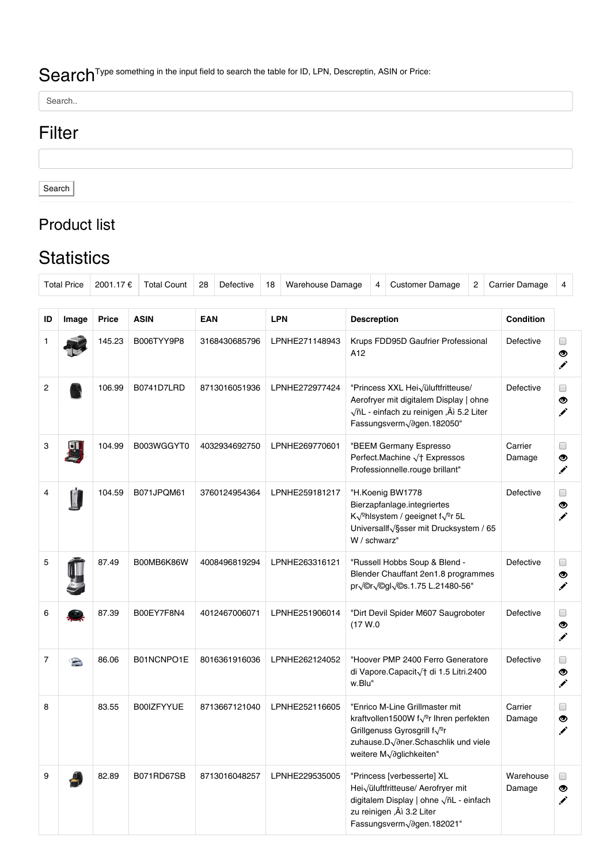## Search<sup>Type something in the input field to search the table for ID, LPN, Descreptin, ASIN or Price:</sup>

Search..

## Filter

Search

## Product list

## **Statistics**

| <b>Total Price</b> |                | 2001.17 €    | <b>Total Count</b> | 28            | Defective     | 18         | <b>Warehouse Damage</b>                                                                                                                                                           |                                                                                                                                                                                                  | 4                                                                                   | <b>Customer Damage</b> | 2                |                  | Carrier Damage   | 4 |  |
|--------------------|----------------|--------------|--------------------|---------------|---------------|------------|-----------------------------------------------------------------------------------------------------------------------------------------------------------------------------------|--------------------------------------------------------------------------------------------------------------------------------------------------------------------------------------------------|-------------------------------------------------------------------------------------|------------------------|------------------|------------------|------------------|---|--|
|                    |                |              |                    |               |               |            |                                                                                                                                                                                   |                                                                                                                                                                                                  |                                                                                     |                        |                  |                  |                  |   |  |
| ID                 | Image          | <b>Price</b> | <b>ASIN</b>        | <b>EAN</b>    |               | <b>LPN</b> |                                                                                                                                                                                   | <b>Descreption</b>                                                                                                                                                                               |                                                                                     |                        | <b>Condition</b> |                  |                  |   |  |
|                    |                | 145.23       | B006TYY9P8         | 3168430685796 |               |            | LPNHE271148943                                                                                                                                                                    | Krups FDD95D Gaufrier Professional<br>A12                                                                                                                                                        |                                                                                     |                        | Defective        | $\Box$<br>◉<br>✔ |                  |   |  |
| $\overline{c}$     |                | 106.99       | B0741D7LRD         |               | 8713016051936 |            | LPNHE272977424<br>"Princess XXL Hei $\sqrt{u}$ luftfritteuse/<br>Aerofryer mit digitalem Display   ohne<br>√ñL - einfach zu reinigen ,Äì 5.2 Liter<br>Fassungsverm Vagen. 182050" |                                                                                                                                                                                                  | Defective                                                                           | $\Box$<br>◉<br>✔       |                  |                  |                  |   |  |
| 3                  | $\blacksquare$ | 104.99       | B003WGGYT0         |               | 4032934692750 |            | LPNHE269770601                                                                                                                                                                    | "BEEM Germany Espresso<br>Perfect.Machine à Expressos<br>Professionnelle.rouge brillant"                                                                                                         |                                                                                     | Carrier<br>Damage      | $\Box$<br>◉<br>╱ |                  |                  |   |  |
| 4                  |                | 104.59       | B071JPQM61         |               | 3760124954364 |            | LPNHE259181217                                                                                                                                                                    | "H.Koenig BW1778<br>Bierzapfanlage.integriertes<br>K√ <sup>o</sup> hlsystem / geeignet f√ <sup>o</sup> r 5L<br>Universallf <sub>VSSSer</sub> mit Drucksystem / 65<br>W / schwarz"                |                                                                                     | Defective              | $\Box$<br>◉<br>✔ |                  |                  |   |  |
| 5                  |                | 87.49        | B00MB6K86W         | 4008496819294 |               |            | LPNHE263316121                                                                                                                                                                    | "Russell Hobbs Soup & Blend -<br>Blender Chauffant 2en1.8 programmes<br>pr / Or / Ogl / Os. 1.75 L. 21480-56"                                                                                    |                                                                                     | Defective              | $\Box$<br>◉<br>✔ |                  |                  |   |  |
| 6                  |                | 87.39        | B00EY7F8N4         | 4012467006071 |               |            | LPNHE251906014                                                                                                                                                                    | "Dirt Devil Spider M607 Saugroboter<br>(17 W.0)                                                                                                                                                  |                                                                                     | Defective              | $\Box$<br>◉<br>✔ |                  |                  |   |  |
| 7                  |                | 86.06        | B01NCNPO1E         | 8016361916036 |               |            | LPNHE262124052                                                                                                                                                                    |                                                                                                                                                                                                  | "Hoover PMP 2400 Ferro Generatore<br>di Vapore.Capacità di 1.5 Litri.2400<br>w.Blu" |                        |                  | Defective        | $\Box$<br>◉<br>✔ |   |  |
| 8                  |                | 83.55        | <b>B00IZFYYUE</b>  | 8713667121040 |               |            | LPNHE252116605                                                                                                                                                                    | "Enrico M-Line Grillmaster mit<br>kraftvollen1500W f√ <sup>o</sup> r Ihren perfekten<br>Grillgenuss Gyrosgrill f√ <sup>o</sup> r<br>zuhause.Döner.Schaschlik und viele<br>weitere Möglichkeiten" |                                                                                     | Carrier<br>Damage      | $\Box$<br>◉      |                  |                  |   |  |
| 9                  |                | 82.89        | B071RD67SB         | 8713016048257 |               |            | LPNHE229535005                                                                                                                                                                    | "Princess [verbesserte] XL<br>Hei $\sqrt{u}$ luftfritteuse/ Aerofryer mit<br>digitalem Display   ohne ÖL - einfach<br>zu reinigen ,Äì 3.2 Liter<br>Fassungsverm Vagen. 182021"                   |                                                                                     | Warehouse<br>Damage    | $\Box$<br>◉<br>╱ |                  |                  |   |  |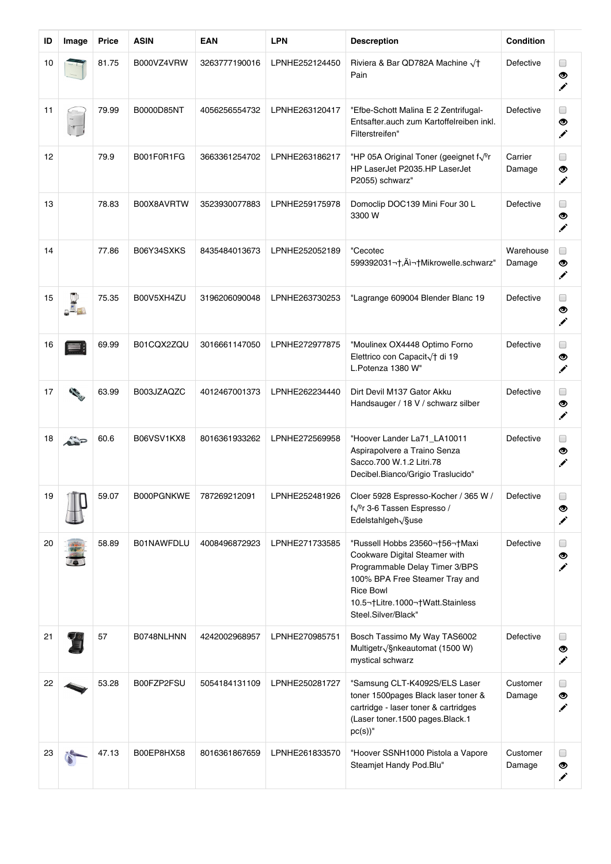| ID | Image | Price | <b>ASIN</b> | <b>EAN</b>    | <b>LPN</b>     | <b>Descreption</b>                                                                                                                                                                                             | Condition           |                  |
|----|-------|-------|-------------|---------------|----------------|----------------------------------------------------------------------------------------------------------------------------------------------------------------------------------------------------------------|---------------------|------------------|
| 10 |       | 81.75 | B000VZ4VRW  | 3263777190016 | LPNHE252124450 | Riviera & Bar QD782A Machine à<br>Pain                                                                                                                                                                         | Defective           | $\Box$<br>◉<br>╱ |
| 11 |       | 79.99 | B0000D85NT  | 4056256554732 | LPNHE263120417 | "Efbe-Schott Malina E 2 Zentrifugal-<br>Entsafter.auch zum Kartoffelreiben inkl.<br>Filterstreifen"                                                                                                            | Defective           | $\Box$<br>◉<br>✔ |
| 12 |       | 79.9  | B001F0R1FG  | 3663361254702 | LPNHE263186217 | "HP 05A Original Toner (geeignet f $\sqrt{2}$ r<br>HP LaserJet P2035.HP LaserJet<br>P2055) schwarz"                                                                                                            | Carrier<br>Damage   | $\Box$<br>◉<br>✔ |
| 13 |       | 78.83 | B00X8AVRTW  | 3523930077883 | LPNHE259175978 | Domoclip DOC139 Mini Four 30 L<br>3300 W                                                                                                                                                                       | Defective           | $\Box$<br>◉<br>╱ |
| 14 |       | 77.86 | B06Y34SXKS  | 8435484013673 | LPNHE252052189 | "Cecotec<br>599392031¬†,Ä쬆Mikrowelle.schwarz"                                                                                                                                                                  | Warehouse<br>Damage | $\Box$<br>◉<br>╱ |
| 15 |       | 75.35 | B00V5XH4ZU  | 3196206090048 | LPNHE263730253 | "Lagrange 609004 Blender Blanc 19                                                                                                                                                                              | Defective           | $\Box$<br>◉<br>✔ |
| 16 |       | 69.99 | B01CQX2ZQU  | 3016661147050 | LPNHE272977875 | "Moulinex OX4448 Optimo Forno<br>Elettrico con Capacit / + di 19<br>L.Potenza 1380 W"                                                                                                                          | Defective           | $\Box$<br>◉<br>✔ |
| 17 |       | 63.99 | B003JZAQZC  | 4012467001373 | LPNHE262234440 | Dirt Devil M137 Gator Akku<br>Handsauger / 18 V / schwarz silber                                                                                                                                               | Defective           | $\Box$<br>◉<br>╱ |
| 18 |       | 60.6  | B06VSV1KX8  | 8016361933262 | LPNHE272569958 | "Hoover Lander La71_LA10011<br>Aspirapolvere a Traino Senza<br>Sacco.700 W.1.2 Litri.78<br>Decibel.Bianco/Grigio Traslucido"                                                                                   | Defective           | $\Box$<br>◉<br>╱ |
| 19 |       | 59.07 | B000PGNKWE  | 787269212091  | LPNHE252481926 | Cloer 5928 Espresso-Kocher / 365 W /<br>f $\sqrt{2}$ r 3-6 Tassen Espresso /<br>Edelstahlgeh√§use                                                                                                              | Defective           | ◉<br>✔           |
| 20 |       | 58.89 | B01NAWFDLU  | 4008496872923 | LPNHE271733585 | "Russell Hobbs 23560 56 Maxi<br>Cookware Digital Steamer with<br>Programmable Delay Timer 3/BPS<br>100% BPA Free Steamer Tray and<br><b>Rice Bowl</b><br>10.5 Litre.1000 Watt.Stainless<br>Steel.Silver/Black" | Defective           | $\Box$<br>◉<br>✔ |
| 21 |       | 57    | B0748NLHNN  | 4242002968957 | LPNHE270985751 | Bosch Tassimo My Way TAS6002<br>Multigetr <sub>VS</sub> nkeautomat (1500 W)<br>mystical schwarz                                                                                                                | Defective           | U<br>◉<br>╱      |
| 22 |       | 53.28 | B00FZP2FSU  | 5054184131109 | LPNHE250281727 | "Samsung CLT-K4092S/ELS Laser<br>toner 1500pages Black laser toner &<br>cartridge - laser toner & cartridges<br>(Laser toner.1500 pages.Black.1<br>$pc(s)$ "                                                   | Customer<br>Damage  | $\Box$<br>◉<br>✔ |
| 23 |       | 47.13 | B00EP8HX58  | 8016361867659 | LPNHE261833570 | "Hoover SSNH1000 Pistola a Vapore<br>Steamjet Handy Pod.Blu"                                                                                                                                                   | Customer<br>Damage  | $\Box$<br>◉<br>✔ |